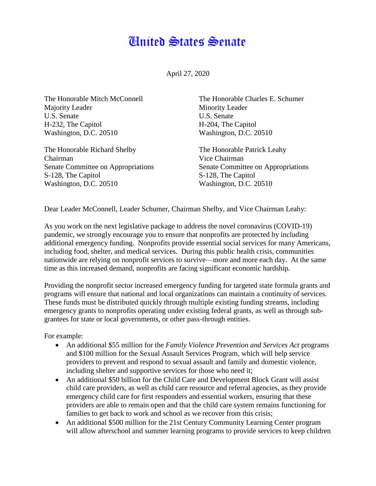## **Cinited States Senate**

April 27, 2020

The Honorable Mitch McConnell Majority Leader U.S. Senate H-232, The Capitol Washington, D.C. 20510

The Honorable Richard Shelby Chairman Senate Committee on Appropriations S-128, The Capitol Washington, D.C. 20510

The Honorable Charles E. Schumer Minority Leader U.S. Senate H-204, The Capitol Washington, D.C. 20510

The Honorable Patrick Leahy Vice Chairman Senate Committee on Appropriations S-128, The Capitol Washington, D.C. 20510

Dear Leader McConnell, Leader Schumer, Chairman Shelby, and Vice Chairman Leahy:

As you work on the next legislative package to address the novel coronavirus (COVID-19) pandemic, we strongly encourage you to ensure that nonprofits are protected by including additional emergency funding. Nonprofits provide essential social services for many Americans, including food, shelter, and medical services. During this public health crisis, communities nationwide are relying on nonprofit services to survive—more and more each day. At the same time as this increased demand, nonprofits are facing significant economic hardship.

Providing the nonprofit sector increased emergency funding for targeted state formula grants and programs will ensure that national and local organizations can maintain a continuity of services. These funds must be distributed quickly through multiple existing funding streams, including emergency grants to nonprofits operating under existing federal grants, as well as through subgrantees for state or local governments, or other pass-through entities.

For example:

- An additional \$55 million for the *Family Violence Prevention and Services Act* programs and \$100 million for the Sexual Assault Services Program*,* which will help service providers to prevent and respond to sexual assault and family and domestic violence, including shelter and supportive services for those who need it;
- An additional \$50 billion for the Child Care and Development Block Grant will assist child care providers, as well as child care resource and referral agencies, as they provide emergency child care for first responders and essential workers, ensuring that these providers are able to remain open and that the child care system remains functioning for families to get back to work and school as we recover from this crisis;
- An additional \$500 million for the 21st Century Community Learning Center program will allow afterschool and summer learning programs to provide services to keep children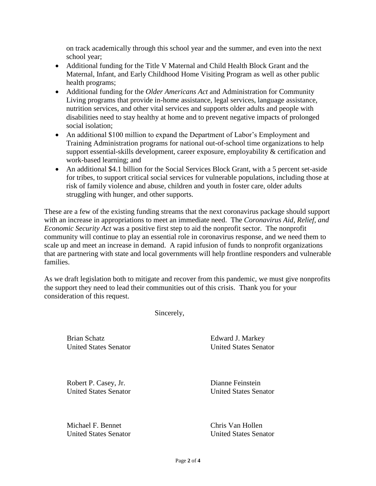on track academically through this school year and the summer, and even into the next school year;

- Additional funding for the Title V Maternal and Child Health Block Grant and the Maternal, Infant, and Early Childhood Home Visiting Program as well as other public health programs;
- Additional funding for the *Older Americans Act* and Administration for Community Living programs that provide in-home assistance, legal services, language assistance, nutrition services, and other vital services and supports older adults and people with disabilities need to stay healthy at home and to prevent negative impacts of prolonged social isolation:
- An additional \$100 million to expand the Department of Labor's Employment and Training Administration programs for national out-of-school time organizations to help support essential-skills development, career exposure, employability & certification and work-based learning; and
- An additional \$4.1 billion for the Social Services Block Grant, with a 5 percent set-aside for tribes, to support critical social services for vulnerable populations, including those at risk of family violence and abuse, children and youth in foster care, older adults struggling with hunger, and other supports.

These are a few of the existing funding streams that the next coronavirus package should support with an increase in appropriations to meet an immediate need. The *Coronavirus Aid, Relief, and Economic Security Act* was a positive first step to aid the nonprofit sector. The nonprofit community will continue to play an essential role in coronavirus response, and we need them to scale up and meet an increase in demand. A rapid infusion of funds to nonprofit organizations that are partnering with state and local governments will help frontline responders and vulnerable families.

As we draft legislation both to mitigate and recover from this pandemic, we must give nonprofits the support they need to lead their communities out of this crisis. Thank you for your consideration of this request.

Sincerely,

Brian Schatz United States Senator Edward J. Markey United States Senator

Robert P. Casey, Jr. United States Senator

Michael F. Bennet United States Senator Dianne Feinstein United States Senator

Chris Van Hollen United States Senator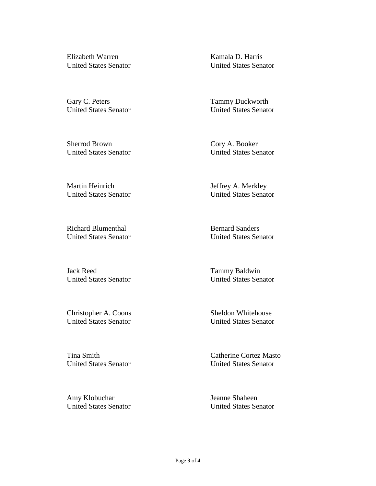Elizabeth Warren United States Senator

Gary C. Peters United States Senator

Sherrod Brown United States Senator Kamala D. Harris United States Senator

Tammy Duckworth United States Senator

Cory A. Booker United States Senator

Martin Heinrich United States Senator Jeffrey A. Merkley United States Senator

Richard Blumenthal United States Senator

Jack Reed United States Senator

Christopher A. Coons United States Senator

Tina Smith United States Senator

Amy Klobuchar United States Senator Bernard Sanders United States Senator

Tammy Baldwin United States Senator

Sheldon Whitehouse United States Senator

Catherine Cortez Masto United States Senator

Jeanne Shaheen United States Senator